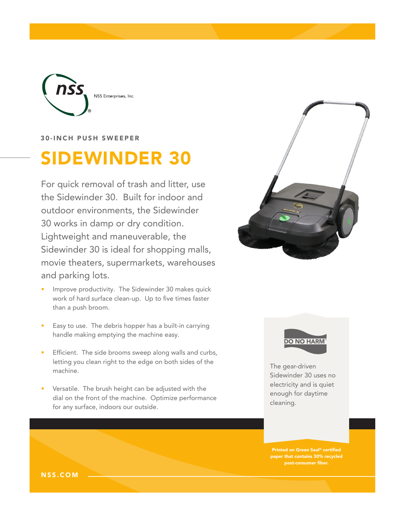

30-INCH PUSH SWEEPER

## SIDEWINDER 30

For quick removal of trash and litter, use the Sidewinder 30. Built for indoor and outdoor environments, the Sidewinder 30 works in damp or dry condition. Lightweight and maneuverable, the Sidewinder 30 is ideal for shopping malls, movie theaters, supermarkets, warehouses and parking lots.

- Improve productivity. The Sidewinder 30 makes quick work of hard surface clean-up. Up to five times faster than a push broom.
- Easy to use. The debris hopper has a built-in carrying handle making emptying the machine easy.
- Efficient. The side brooms sweep along walls and curbs, letting you clean right to the edge on both sides of the machine.
- Versatile. The brush height can be adjusted with the dial on the front of the machine. Optimize performance for any surface, indoors our outside.





The gear-driven Sidewinder 30 uses no electricity and is quiet enough for daytime cleaning.

Printed on Green Seal® certified paper that contains 30% recycled post-consumer fiber.